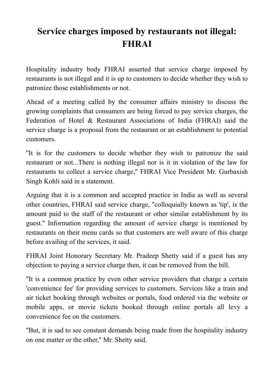## **Service charges imposed by restaurants not illegal: FHRAI**

Hospitality industry body FHRAI asserted that service charge imposed by restaurants is not illegal and it is up to customers to decide whether they wish to patronize those establishments or not.

Ahead of a meeting called by the consumer affairs ministry to discuss the growing complaints that consumers are being forced to pay service charges, the Federation of Hotel & Restaurant Associations of India (FHRAI) said the service charge is a proposal from the restaurant or an establishment to potential customers.

''It is for the customers to decide whether they wish to patronize the said restaurant or not...There is nothing illegal nor is it in violation of the law for restaurants to collect a service charge,'' FHRAI Vice President Mr. Gurbaxish Singh Kohli said in a statement.

Arguing that it is a common and accepted practice in India as well as several other countries, FHRAI said service charge, ''colloquially known as 'tip', is the amount paid to the staff of the restaurant or other similar establishment by its guest.'' Information regarding the amount of service charge is mentioned by restaurants on their menu cards so that customers are well aware of this charge before availing of the services, it said.

FHRAI Joint Honorary Secretary Mr. Pradeep Shetty said if a guest has any objection to paying a service charge then, it can be removed from the bill.

''It is a common practice by even other service providers that charge a certain 'convenience fee' for providing services to customers. Services like a train and air ticket booking through websites or portals, food ordered via the website or mobile apps, or movie tickets booked through online portals all levy a convenience fee on the customers.

''But, it is sad to see constant demands being made from the hospitality industry on one matter or the other,'' Mr. Shetty said.